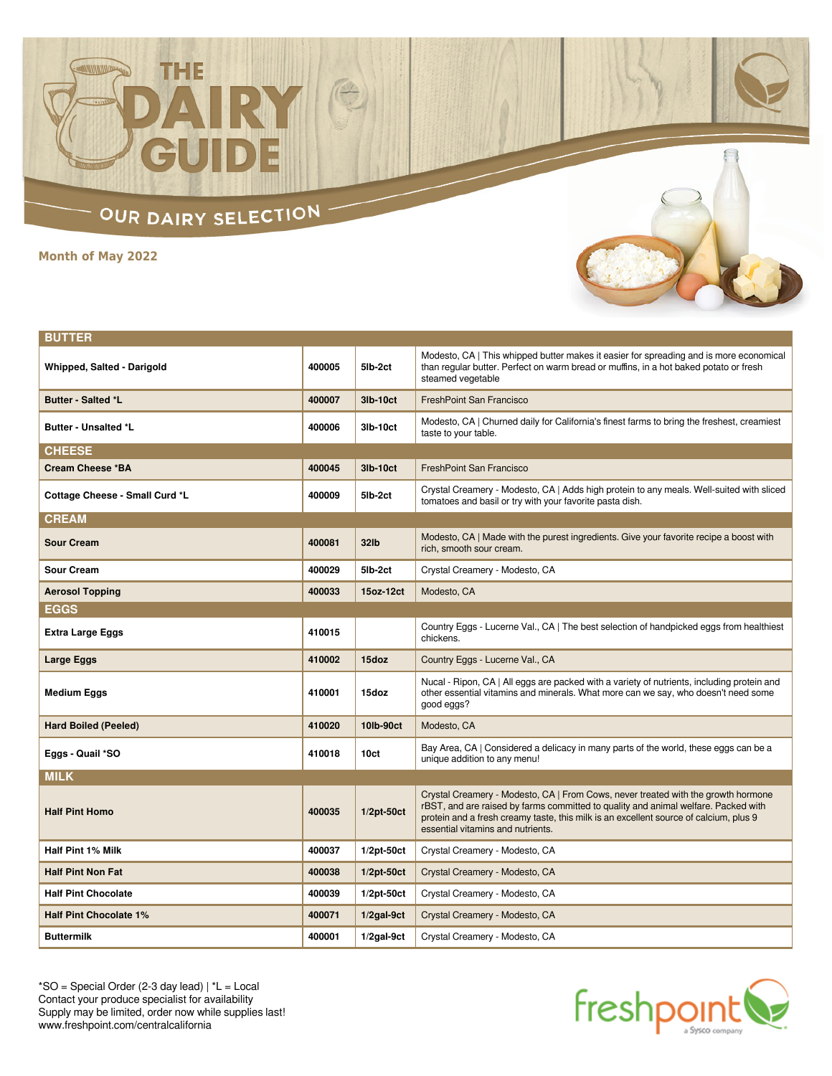## OUR DAIRY SELECTION -

H

THE

**Month of May 2022**

| <b>BUTTER</b>                  |        |                  |                                                                                                                                                                                                                                                                                                       |
|--------------------------------|--------|------------------|-------------------------------------------------------------------------------------------------------------------------------------------------------------------------------------------------------------------------------------------------------------------------------------------------------|
| Whipped, Salted - Darigold     | 400005 | 5lb-2ct          | Modesto, CA   This whipped butter makes it easier for spreading and is more economical<br>than regular butter. Perfect on warm bread or muffins, in a hot baked potato or fresh<br>steamed vegetable                                                                                                  |
| <b>Butter - Salted *L</b>      | 400007 | 3lb-10ct         | <b>FreshPoint San Francisco</b>                                                                                                                                                                                                                                                                       |
| <b>Butter - Unsalted *L</b>    | 400006 | 3lb-10ct         | Modesto, CA   Churned daily for California's finest farms to bring the freshest, creamiest<br>taste to your table.                                                                                                                                                                                    |
| <b>CHEESE</b>                  |        |                  |                                                                                                                                                                                                                                                                                                       |
| <b>Cream Cheese *BA</b>        | 400045 | 3lb-10ct         | <b>FreshPoint San Francisco</b>                                                                                                                                                                                                                                                                       |
| Cottage Cheese - Small Curd *L | 400009 | 5lb-2ct          | Crystal Creamery - Modesto, CA   Adds high protein to any meals. Well-suited with sliced<br>tomatoes and basil or try with your favorite pasta dish.                                                                                                                                                  |
| <b>CREAM</b>                   |        |                  |                                                                                                                                                                                                                                                                                                       |
| <b>Sour Cream</b>              | 400081 | 32lb             | Modesto, CA   Made with the purest ingredients. Give your favorite recipe a boost with<br>rich. smooth sour cream.                                                                                                                                                                                    |
| <b>Sour Cream</b>              | 400029 | 5lb-2ct          | Crystal Creamery - Modesto, CA                                                                                                                                                                                                                                                                        |
| <b>Aerosol Topping</b>         | 400033 | 15oz-12ct        | Modesto, CA                                                                                                                                                                                                                                                                                           |
| <b>EGGS</b>                    |        |                  |                                                                                                                                                                                                                                                                                                       |
| <b>Extra Large Eggs</b>        | 410015 |                  | Country Eggs - Lucerne Val., CA   The best selection of handpicked eggs from healthiest<br>chickens.                                                                                                                                                                                                  |
| Large Eggs                     | 410002 | 15doz            | Country Eggs - Lucerne Val., CA                                                                                                                                                                                                                                                                       |
| <b>Medium Eggs</b>             | 410001 | 15doz            | Nucal - Ripon, CA   All eggs are packed with a variety of nutrients, including protein and<br>other essential vitamins and minerals. What more can we say, who doesn't need some<br>good eggs?                                                                                                        |
| <b>Hard Boiled (Peeled)</b>    | 410020 | 10lb-90ct        | Modesto, CA                                                                                                                                                                                                                                                                                           |
| Eggs - Quail *SO               | 410018 | 10 <sub>ct</sub> | Bay Area, CA   Considered a delicacy in many parts of the world, these eggs can be a<br>unique addition to any menu!                                                                                                                                                                                  |
| <b>MILK</b>                    |        |                  |                                                                                                                                                                                                                                                                                                       |
| <b>Half Pint Homo</b>          | 400035 | $1/2pt-50ct$     | Crystal Creamery - Modesto, CA   From Cows, never treated with the growth hormone<br>rBST, and are raised by farms committed to quality and animal welfare. Packed with<br>protein and a fresh creamy taste, this milk is an excellent source of calcium, plus 9<br>essential vitamins and nutrients. |
| <b>Half Pint 1% Milk</b>       | 400037 | $1/2pt-50ct$     | Crystal Creamery - Modesto, CA                                                                                                                                                                                                                                                                        |
| <b>Half Pint Non Fat</b>       | 400038 | $1/2pt-50ct$     | Crystal Creamery - Modesto, CA                                                                                                                                                                                                                                                                        |
| <b>Half Pint Chocolate</b>     | 400039 | $1/2pt-50ct$     | Crystal Creamery - Modesto, CA                                                                                                                                                                                                                                                                        |
| <b>Half Pint Chocolate 1%</b>  | 400071 | $1/2$ gal-9 $ct$ | Crystal Creamery - Modesto, CA                                                                                                                                                                                                                                                                        |
| <b>Buttermilk</b>              | 400001 | $1/2$ gal-9 $ct$ | Crystal Creamery - Modesto, CA                                                                                                                                                                                                                                                                        |
|                                |        |                  |                                                                                                                                                                                                                                                                                                       |

\*SO = Special Order (2-3 day lead) | \*L = Local Contact your produce specialist for availability Supply may be limited, order now while supplies last! www.freshpoint.com/centralcalifornia